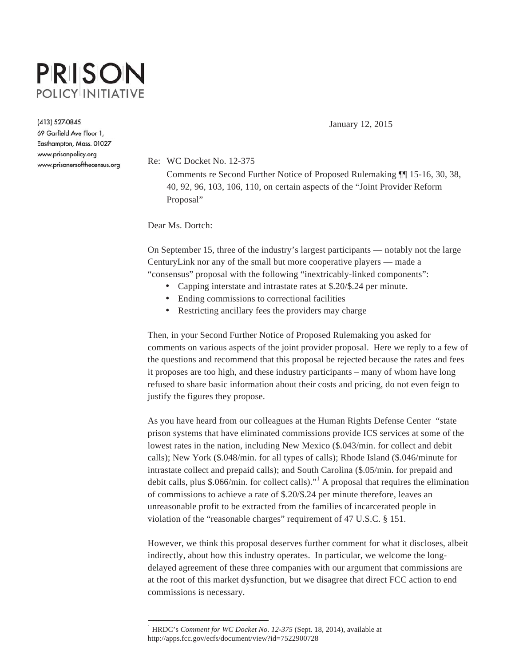# **PRISON POLICY INITIATIVE**

(413) 527-0845

69 Garfield Ave Floor 1, Easthampton, Mass. 01027 www.prisonpolicy.org www.prisonersofthecensus.org January 12, 2015

Re: WC Docket No. 12-375

 Comments re Second Further Notice of Proposed Rulemaking ¶¶ 15-16, 30, 38, 40, 92, 96, 103, 106, 110, on certain aspects of the "Joint Provider Reform Proposal"

Dear Ms. Dortch:

 $\overline{a}$ 

On September 15, three of the industry's largest participants — notably not the large CenturyLink nor any of the small but more cooperative players — made a "consensus" proposal with the following "inextricably-linked components":

- Capping interstate and intrastate rates at \$.20/\$.24 per minute.
- Ending commissions to correctional facilities
- Restricting ancillary fees the providers may charge

Then, in your Second Further Notice of Proposed Rulemaking you asked for comments on various aspects of the joint provider proposal. Here we reply to a few of the questions and recommend that this proposal be rejected because the rates and fees it proposes are too high, and these industry participants – many of whom have long refused to share basic information about their costs and pricing, do not even feign to justify the figures they propose.

As you have heard from our colleagues at the Human Rights Defense Center "state prison systems that have eliminated commissions provide ICS services at some of the lowest rates in the nation, including New Mexico (\$.043/min. for collect and debit calls); New York (\$.048/min. for all types of calls); Rhode Island (\$.046/minute for intrastate collect and prepaid calls); and South Carolina (\$.05/min. for prepaid and debit calls, plus \$.066/min. for collect calls). $"^1$  A proposal that requires the elimination of commissions to achieve a rate of \$.20/\$.24 per minute therefore, leaves an unreasonable profit to be extracted from the families of incarcerated people in violation of the "reasonable charges" requirement of 47 U.S.C. § 151.

However, we think this proposal deserves further comment for what it discloses, albeit indirectly, about how this industry operates. In particular, we welcome the longdelayed agreement of these three companies with our argument that commissions are at the root of this market dysfunction, but we disagree that direct FCC action to end commissions is necessary.

<sup>&</sup>lt;sup>1</sup> HRDC's *Comment for WC Docket No. 12-375* (Sept. 18, 2014), available at http://apps.fcc.gov/ecfs/document/view?id=7522900728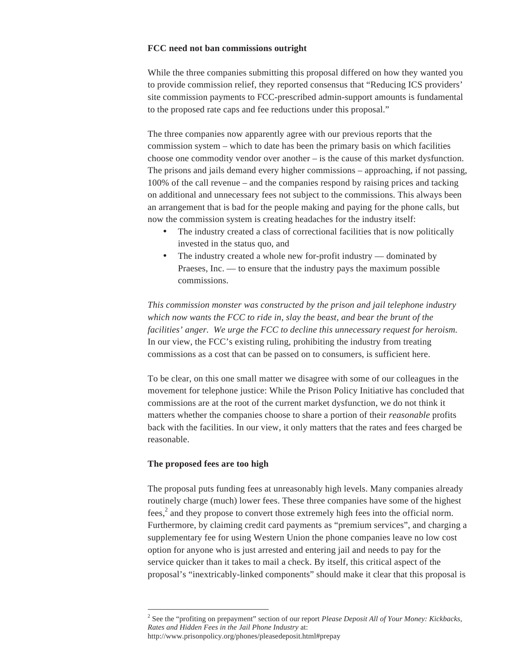## **FCC need not ban commissions outright**

While the three companies submitting this proposal differed on how they wanted you to provide commission relief, they reported consensus that "Reducing ICS providers' site commission payments to FCC-prescribed admin-support amounts is fundamental to the proposed rate caps and fee reductions under this proposal."

The three companies now apparently agree with our previous reports that the commission system – which to date has been the primary basis on which facilities choose one commodity vendor over another – is the cause of this market dysfunction. The prisons and jails demand every higher commissions – approaching, if not passing, 100% of the call revenue – and the companies respond by raising prices and tacking on additional and unnecessary fees not subject to the commissions. This always been an arrangement that is bad for the people making and paying for the phone calls, but now the commission system is creating headaches for the industry itself:

- The industry created a class of correctional facilities that is now politically invested in the status quo, and
- The industry created a whole new for-profit industry dominated by Praeses, Inc. — to ensure that the industry pays the maximum possible commissions.

*This commission monster was constructed by the prison and jail telephone industry which now wants the FCC to ride in, slay the beast, and bear the brunt of the facilities' anger. We urge the FCC to decline this unnecessary request for heroism.*  In our view, the FCC's existing ruling, prohibiting the industry from treating commissions as a cost that can be passed on to consumers, is sufficient here.

To be clear, on this one small matter we disagree with some of our colleagues in the movement for telephone justice: While the Prison Policy Initiative has concluded that commissions are at the root of the current market dysfunction, we do not think it matters whether the companies choose to share a portion of their *reasonable* profits back with the facilities. In our view, it only matters that the rates and fees charged be reasonable.

## **The proposed fees are too high**

 $\overline{a}$ 

The proposal puts funding fees at unreasonably high levels. Many companies already routinely charge (much) lower fees. These three companies have some of the highest fees,<sup>2</sup> and they propose to convert those extremely high fees into the official norm. Furthermore, by claiming credit card payments as "premium services", and charging a supplementary fee for using Western Union the phone companies leave no low cost option for anyone who is just arrested and entering jail and needs to pay for the service quicker than it takes to mail a check. By itself, this critical aspect of the proposal's "inextricably-linked components" should make it clear that this proposal is

<sup>2</sup> See the "profiting on prepayment" section of our report *Please Deposit All of Your Money: Kickbacks, Rates and Hidden Fees in the Jail Phone Industry* at:

http://www.prisonpolicy.org/phones/pleasedeposit.html#prepay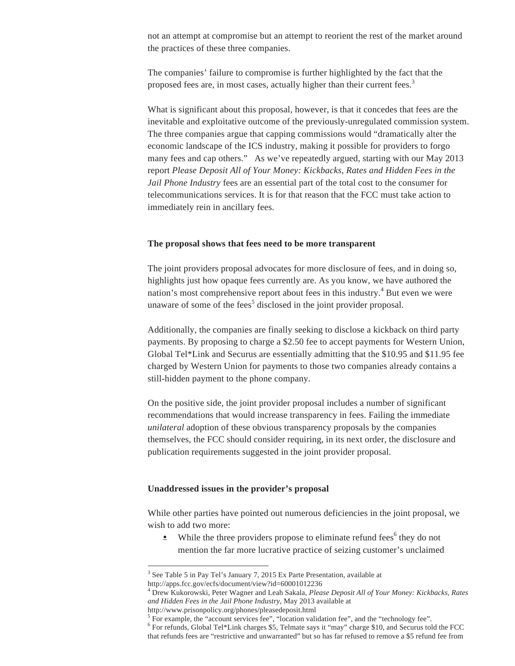not an attempt at compromise but an attempt to reorient the rest of the market around the practices of these three companies.

The companies' failure to compromise is further highlighted by the fact that the proposed fees are, in most cases, actually higher than their current fees.<sup>3</sup>

What is significant about this proposal, however, is that it concedes that fees are the inevitable and exploitative outcome of the previously-unregulated commission system. The three companies argue that capping commissions would "dramatically alter the economic landscape of the ICS industry, making it possible for providers to forgo many fees and cap others." As we've repeatedly argued, starting with our May 2013 report *Please Deposit All of Your Money: Kickbacks, Rates and Hidden Fees in the Jail Phone Industry* fees are an essential part of the total cost to the consumer for telecommunications services. It is for that reason that the FCC must take action to immediately rein in ancillary fees.

#### **The proposal shows that fees need to be more transparent**

The joint providers proposal advocates for more disclosure of fees, and in doing so, highlights just how opaque fees currently are. As you know, we have authored the nation's most comprehensive report about fees in this industry.<sup>4</sup> But even we were unaware of some of the fees<sup>5</sup> disclosed in the joint provider proposal.

Additionally, the companies are finally seeking to disclose a kickback on third party payments. By proposing to charge a \$2.50 fee to accept payments for Western Union, Global Tel\*Link and Securus are essentially admitting that the \$10.95 and \$11.95 fee charged by Western Union for payments to those two companies already contains a still-hidden payment to the phone company.

On the positive side, the joint provider proposal includes a number of significant recommendations that would increase transparency in fees. Failing the immediate *unilateral* adoption of these obvious transparency proposals by the companies themselves, the FCC should consider requiring, in its next order, the disclosure and publication requirements suggested in the joint provider proposal.

#### **Unaddressed issues in the provider's proposal**

While other parties have pointed out numerous deficiencies in the joint proposal, we wish to add two more:

 $\bullet$  While the three providers propose to eliminate refund fees<sup>6</sup> they do not mention the far more lucrative practice of seizing customer's unclaimed

 $\overline{a}$ 

<sup>&</sup>lt;sup>3</sup> See Table 5 in Pay Tel's January 7, 2015 Ex Parte Presentation, available at http://apps.fcc.gov/ecfs/document/view?id=60001012236

<sup>4</sup> Drew Kukorowski, Peter Wagner and Leah Sakala, *Please Deposit All of Your Money: Kickbacks, Rates and Hidden Fees in the Jail Phone Industry*, May 2013 available at

http://www.prisonpolicy.org/phones/pleasedeposit.html 5

<sup>&</sup>lt;sup>5</sup> For example, the "account services fee", "location validation fee", and the "technology fee".

<sup>&</sup>lt;sup>6</sup> For refunds, Global Tel\*Link charges \$5, Telmate says it "may" charge \$10, and Securus told the FCC that refunds fees are "restrictive and unwarranted" but so has far refused to remove a \$5 refund fee from